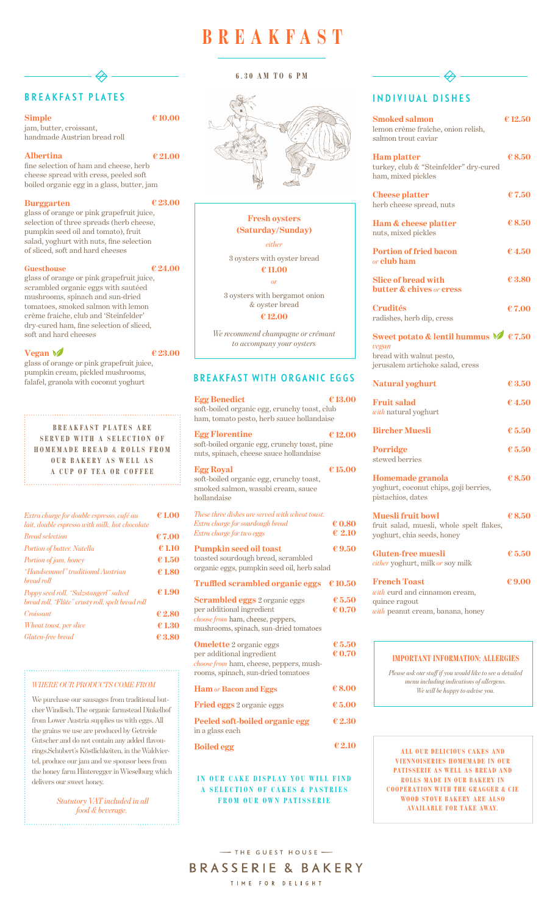# BREAKFAST PLATES

**Simple** 

jam, butter, croissant, handmade Austrian bread roll

#### **Albertina**

fine selection of ham and cheese, herb cheese spread with cress, peeled soft boiled organic egg in a glass, butter, jam

#### **Burggarten**

| Extra charge for double espresso, café au<br>lait, double espresso with milk, hot chocolate | € 1.00 |
|---------------------------------------------------------------------------------------------|--------|
| <b>Bread selection</b>                                                                      | €7.00  |
| Portion of butter, Nutella                                                                  | €1.10  |
| Portion of jam, honey                                                                       | €1.50  |
| "Handsemmel" traditional Austrian<br>bread roll                                             | €1.80  |
| Poppy seed roll, "Salzstangerl" salted<br>bread roll, "Flûte" crusty roll, spelt bread roll | €1.90  |
| Croissant                                                                                   | €2.80  |
| <i>Wheat toast, per slice</i>                                                               | € 1.30 |
| Gluten-free bread                                                                           | € 3.80 |

glass of orange or pink grapefruit juice, selection of three spreads (herb cheese, pumpkin seed oil and tomato), fruit salad, yoghurt with nuts, fine selection of sliced, soft and hard cheeses

#### **Guesthouse**

glass of orange or pink grapefruit juice, scrambled organic eggs with sautéed mushrooms, spinach and sun-dried tomatoes, smoked salmon with lemon crème fraiche, club and 'Steinfelder' dry-cured ham, fine selection of sliced, soft and hard cheeses

#### **Vegan**

glass of orange or pink grapefruit juice, pumpkin cream, pickled mushrooms, falafel, granola with coconut yoghurt

**€ 10.00**

**€ 21.00**

**€ 23.00**

**€ 24.00**

**€ 23.00**

**B R E A K F A S T P L A T E S A R E SERVED WITH A SELECTION OF HOMEMADE BREAD & ROLLS FROM OUR BAKERY AS WELL AS A CUP OF TEA OR COFFEE**

#### **Peeled soft-boiled organic egg**

in a glass each

#### **Boiled egg**

# INDIVIUAL DISHES

| <b>Egg Benedict</b><br>soft-boiled organic egg, crunchy toast, club<br>ham, tomato pesto, herb sauce hollandaise                                 | €13.00                                                       |
|--------------------------------------------------------------------------------------------------------------------------------------------------|--------------------------------------------------------------|
| <b>Egg Florentine</b><br>soft-boiled organic egg, crunchy toast, pine<br>nuts, spinach, cheese sauce hollandaise                                 | €12.00                                                       |
| <b>Egg Royal</b><br>soft-boiled organic egg, crunchy toast,<br>smoked salmon, wasabi cream, sauce<br>hollandaise                                 | €15.00                                                       |
| These three dishes are served with wheat toast.<br>Extra charge for sourdough bread<br>Extra charge for two eggs                                 | $\boldsymbol{\epsilon}$ 0.80<br>$\epsilon$ 2.10              |
| <b>Pumpkin seed oil toast</b><br>toasted sourdough bread, scrambled<br>organic eggs, pumpkin seed oil, herb salad                                | €9.50                                                        |
| <b>Truffled scrambled organic eggs</b>                                                                                                           | €10.50                                                       |
| <b>Scrambled eggs</b> 2 organic eggs<br>per additional ingredient<br>choose from ham, cheese, peppers,<br>mushrooms, spinach, sun-dried tomatoes | $\boldsymbol{\epsilon}$ 5.50<br>€ 0.70                       |
| <b>Omelette</b> 2 organic eggs<br>per additional ingredient<br>choose from ham, cheese, peppers, mush-<br>rooms, spinach, sun-dried tomatoes     | $\boldsymbol{\epsilon}$ 5.50<br>$\boldsymbol{\epsilon}$ 0.70 |
| <b>Ham</b> or Bacon and Eggs                                                                                                                     | €8.00                                                        |

#### **IN OUR CAKE DISPLAY YOU WILL FIND** A SELECTION OF CAKES & PASTRIES **FROM OUR OWN PATISSERIE**

**ALL OUR DELICIOUS CAKES AND VIENNOISERIES HOMEMADE IN OUR PATISSERIE AS WELL AS BREAD AND ROLLS MADE IN OUR BAKERY IN COOPERATION WITH THE GRAGGER & CIE WOOD STOVE BAKERY ARE ALSO AVAILABLE FOR TAKE AWAY.** 

-THE GUEST HOUSE -BRASSERIE & BAKERY

TIME FOR DELIGHT

**Fried eggs** 2 organic eggs **€ 5.00**

| <b>Smoked salmon</b><br>lemon crème fraîche, onion relish,<br>salmon trout caviar                                       | €12.50                       |
|-------------------------------------------------------------------------------------------------------------------------|------------------------------|
| <b>Ham platter</b><br>turkey, club & "Steinfelder" dry-cured<br>ham, mixed pickles                                      | $\epsilon$ 8.50              |
| <b>Cheese platter</b><br>herb cheese spread, nuts                                                                       | €7.50                        |
| Ham & cheese platter<br>nuts, mixed pickles                                                                             | €8.50                        |
| <b>Portion of fried bacon</b><br>or <b>club ham</b>                                                                     | €4.50                        |
| <b>Slice of bread with</b><br>butter & chives or cress                                                                  | €3.80                        |
| <b>Crudités</b><br>radishes, herb dip, cress                                                                            | €7.00                        |
| Sweet potato & lentil hummus $\sqrt{6}$ € 7.50<br>vegan<br>bread with walnut pesto,<br>jerusalem artichoke salad, cress |                              |
| <b>Natural yoghurt</b>                                                                                                  | €3.50                        |
| <b>Fruit salad</b><br>with natural yoghurt                                                                              | €4.50                        |
| <b>Bircher Muesli</b>                                                                                                   | € 5.50                       |
| <b>Porridge</b><br>stewed berries                                                                                       | € 5.50                       |
| <b>Homemade granola</b><br>yoghurt, coconut chips, goji berries,<br>pistachios, dates                                   | €8.50                        |
| <b>Muesli fruit bowl</b><br>fruit salad, muesli, whole spelt flakes,<br>yoghurt, chia seeds, honey                      | € $8.50$                     |
| <b>Gluten-free muesli</b><br>either yoghurt, milk or soy milk                                                           | $\boldsymbol{\epsilon}$ 5.50 |
| <b>French Toast</b><br>with curd and cinnamon cream,<br>quince ragout<br>with peanut cream, banana, honey               | €9.00                        |

**€ 2.30**

**€ 2.10**

## BREAKFAST WITH ORGANIC EGGS

# **BREAKFAST**



#### **6.30 AM TO 6 PM**



#### **IMPORTANT INFORMATION: ALLERGIES**

*Please ask our staff if you would like to see a detailed menu including indications of allergens. We will be happy to advise you.*

#### *WHERE OUR PRODUCTS COME FROM*

We purchase our sausages from traditional but-

cher Windisch. The organic farmstead Dinkelhof from Lower Austria supplies us with eggs. All the grains we use are produced by Getreide Gutscher and do not contain any added flavourings.Schubert's Köstlichkeiten, in the Waldviertel, produce our jam and we sponsor bees from the honey farm Hinteregger in Wieselburg which delivers our sweet honey.

> *Statutory VAT included in all food & beverage.*

### **Fresh oysters (Saturday/Sunday)**

*either*

3 oysters with oyster bread **€ 11.00**

*or*

3 oysters with bergamot onion & oyster bread **€ 12.00**

*We recommend champagne or crémant to accompany your oysters*